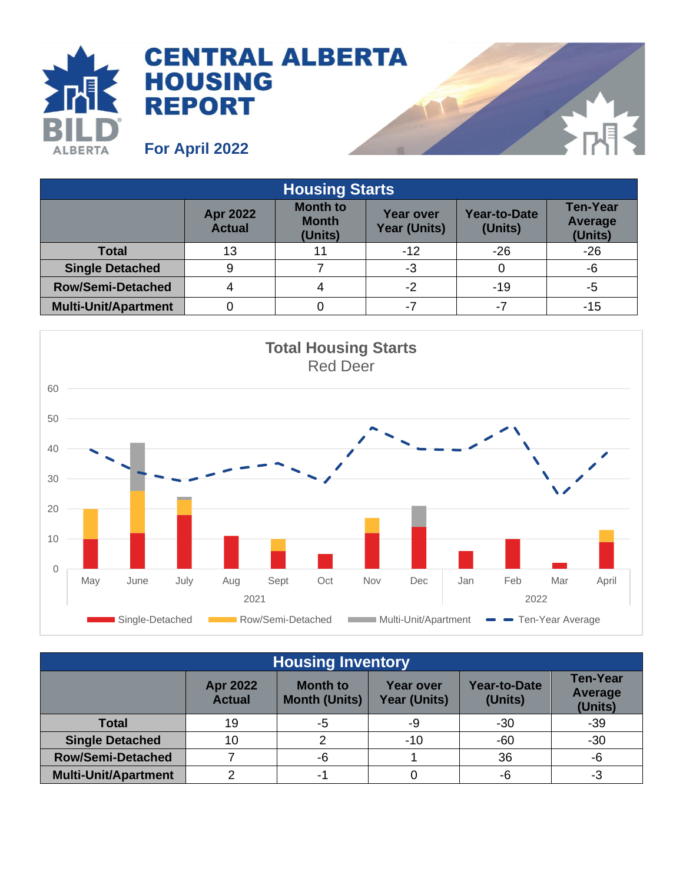

| <b>Housing Starts</b>       |                                  |                                            |                                         |                                |                                              |  |
|-----------------------------|----------------------------------|--------------------------------------------|-----------------------------------------|--------------------------------|----------------------------------------------|--|
|                             | <b>Apr 2022</b><br><b>Actual</b> | <b>Month to</b><br><b>Month</b><br>(Units) | <b>Year over</b><br><b>Year (Units)</b> | <b>Year-to-Date</b><br>(Units) | <b>Ten-Year</b><br><b>Average</b><br>(Units) |  |
| <b>Total</b>                | 13                               |                                            | $-12$                                   | $-26$                          | $-26$                                        |  |
| <b>Single Detached</b>      | 9                                |                                            | -3                                      |                                | -6                                           |  |
| <b>Row/Semi-Detached</b>    |                                  |                                            | -2                                      | $-19$                          | -5                                           |  |
| <b>Multi-Unit/Apartment</b> |                                  |                                            | $-7$                                    | $-7$                           | -15                                          |  |



| <b>Housing Inventory</b>    |                                  |                                         |                                  |                                |                                              |  |
|-----------------------------|----------------------------------|-----------------------------------------|----------------------------------|--------------------------------|----------------------------------------------|--|
|                             | <b>Apr 2022</b><br><b>Actual</b> | <b>Month to</b><br><b>Month (Units)</b> | <b>Year over</b><br>Year (Units) | <b>Year-to-Date</b><br>(Units) | <b>Ten-Year</b><br><b>Average</b><br>(Units) |  |
| <b>Total</b>                | 19                               | -5                                      | -9                               | $-30$                          | $-39$                                        |  |
| <b>Single Detached</b>      | 10                               |                                         | $-10$                            | $-60$                          | $-30$                                        |  |
| <b>Row/Semi-Detached</b>    |                                  | -6                                      |                                  | 36                             | -6                                           |  |
| <b>Multi-Unit/Apartment</b> |                                  | Ξ.                                      |                                  | -6                             | -3                                           |  |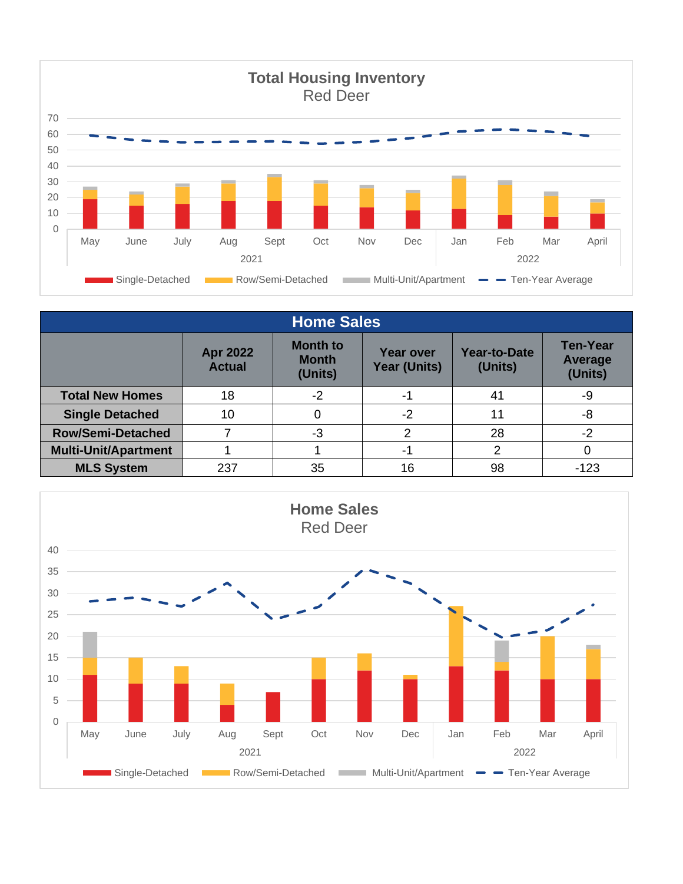

| <b>Home Sales</b>           |                                  |                                            |                                         |                         |                                       |  |
|-----------------------------|----------------------------------|--------------------------------------------|-----------------------------------------|-------------------------|---------------------------------------|--|
|                             | <b>Apr 2022</b><br><b>Actual</b> | <b>Month to</b><br><b>Month</b><br>(Units) | <b>Year over</b><br><b>Year (Units)</b> | Year-to-Date<br>(Units) | <b>Ten-Year</b><br>Average<br>(Units) |  |
| <b>Total New Homes</b>      | 18                               | $-2$                                       | -1                                      | 41                      | -9                                    |  |
| <b>Single Detached</b>      | 10                               | 0                                          | $-2$                                    | 11                      | -8                                    |  |
| <b>Row/Semi-Detached</b>    |                                  | -3                                         | 2                                       | 28                      | -2                                    |  |
| <b>Multi-Unit/Apartment</b> |                                  |                                            | $-1$                                    | っ                       |                                       |  |
| <b>MLS System</b>           | 237                              | 35                                         | 16                                      | 98                      | $-123$                                |  |